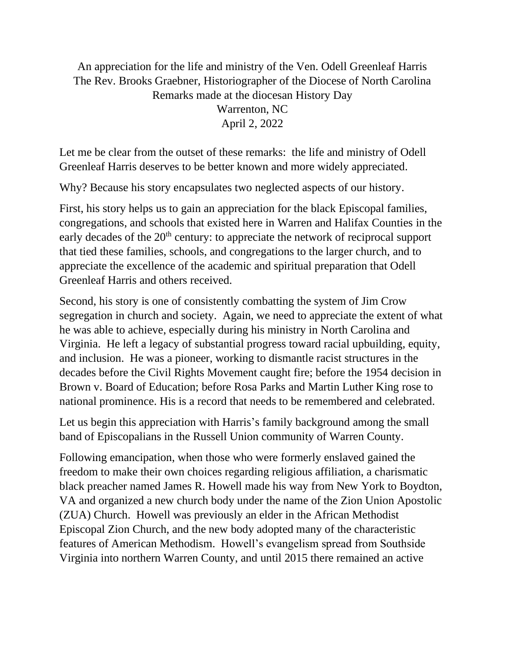An appreciation for the life and ministry of the Ven. Odell Greenleaf Harris The Rev. Brooks Graebner, Historiographer of the Diocese of North Carolina Remarks made at the diocesan History Day Warrenton, NC April 2, 2022

Let me be clear from the outset of these remarks: the life and ministry of Odell Greenleaf Harris deserves to be better known and more widely appreciated.

Why? Because his story encapsulates two neglected aspects of our history.

First, his story helps us to gain an appreciation for the black Episcopal families, congregations, and schools that existed here in Warren and Halifax Counties in the early decades of the  $20<sup>th</sup>$  century: to appreciate the network of reciprocal support that tied these families, schools, and congregations to the larger church, and to appreciate the excellence of the academic and spiritual preparation that Odell Greenleaf Harris and others received.

Second, his story is one of consistently combatting the system of Jim Crow segregation in church and society. Again, we need to appreciate the extent of what he was able to achieve, especially during his ministry in North Carolina and Virginia. He left a legacy of substantial progress toward racial upbuilding, equity, and inclusion. He was a pioneer, working to dismantle racist structures in the decades before the Civil Rights Movement caught fire; before the 1954 decision in Brown v. Board of Education; before Rosa Parks and Martin Luther King rose to national prominence. His is a record that needs to be remembered and celebrated.

Let us begin this appreciation with Harris's family background among the small band of Episcopalians in the Russell Union community of Warren County.

Following emancipation, when those who were formerly enslaved gained the freedom to make their own choices regarding religious affiliation, a charismatic black preacher named James R. Howell made his way from New York to Boydton, VA and organized a new church body under the name of the Zion Union Apostolic (ZUA) Church. Howell was previously an elder in the African Methodist Episcopal Zion Church, and the new body adopted many of the characteristic features of American Methodism. Howell's evangelism spread from Southside Virginia into northern Warren County, and until 2015 there remained an active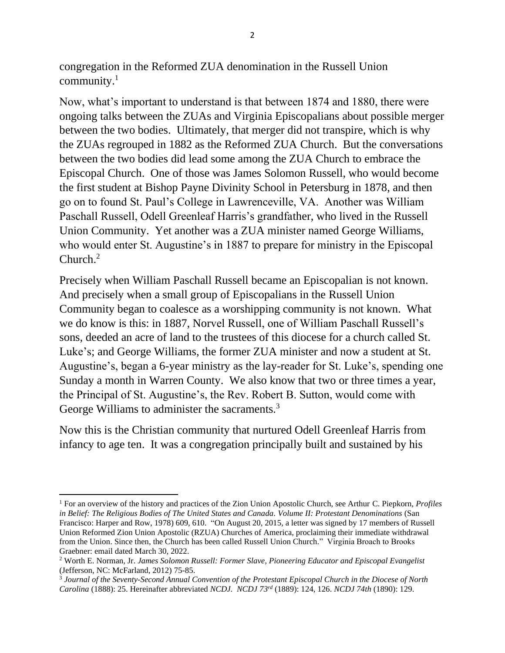congregation in the Reformed ZUA denomination in the Russell Union community.<sup>1</sup>

Now, what's important to understand is that between 1874 and 1880, there were ongoing talks between the ZUAs and Virginia Episcopalians about possible merger between the two bodies. Ultimately, that merger did not transpire, which is why the ZUAs regrouped in 1882 as the Reformed ZUA Church. But the conversations between the two bodies did lead some among the ZUA Church to embrace the Episcopal Church. One of those was James Solomon Russell, who would become the first student at Bishop Payne Divinity School in Petersburg in 1878, and then go on to found St. Paul's College in Lawrenceville, VA. Another was William Paschall Russell, Odell Greenleaf Harris's grandfather, who lived in the Russell Union Community. Yet another was a ZUA minister named George Williams, who would enter St. Augustine's in 1887 to prepare for ministry in the Episcopal Church.<sup>2</sup>

Precisely when William Paschall Russell became an Episcopalian is not known. And precisely when a small group of Episcopalians in the Russell Union Community began to coalesce as a worshipping community is not known. What we do know is this: in 1887, Norvel Russell, one of William Paschall Russell's sons, deeded an acre of land to the trustees of this diocese for a church called St. Luke's; and George Williams, the former ZUA minister and now a student at St. Augustine's, began a 6-year ministry as the lay-reader for St. Luke's, spending one Sunday a month in Warren County. We also know that two or three times a year, the Principal of St. Augustine's, the Rev. Robert B. Sutton, would come with George Williams to administer the sacraments.<sup>3</sup>

Now this is the Christian community that nurtured Odell Greenleaf Harris from infancy to age ten. It was a congregation principally built and sustained by his

<sup>1</sup> For an overview of the history and practices of the Zion Union Apostolic Church, see Arthur C. Piepkorn, *Profiles in Belief: The Religious Bodies of The United States and Canada. Volume II: Protestant Denominations* (San Francisco: Harper and Row, 1978) 609, 610. "On August 20, 2015, a letter was signed by 17 members of Russell Union Reformed Zion Union Apostolic (RZUA) Churches of America, proclaiming their immediate withdrawal from the Union. Since then, the Church has been called Russell Union Church." Virginia Broach to Brooks Graebner: email dated March 30, 2022.

<sup>2</sup> Worth E. Norman, Jr. *James Solomon Russell: Former Slave, Pioneering Educator and Episcopal Evangelist*  (Jefferson, NC: McFarland, 2012) 75-85.

<sup>3</sup> *Journal of the Seventy-Second Annual Convention of the Protestant Episcopal Church in the Diocese of North Carolina* (1888): 25. Hereinafter abbreviated *NCDJ. NCDJ 73rd* (1889): 124, 126. *NCDJ 74th* (1890): 129.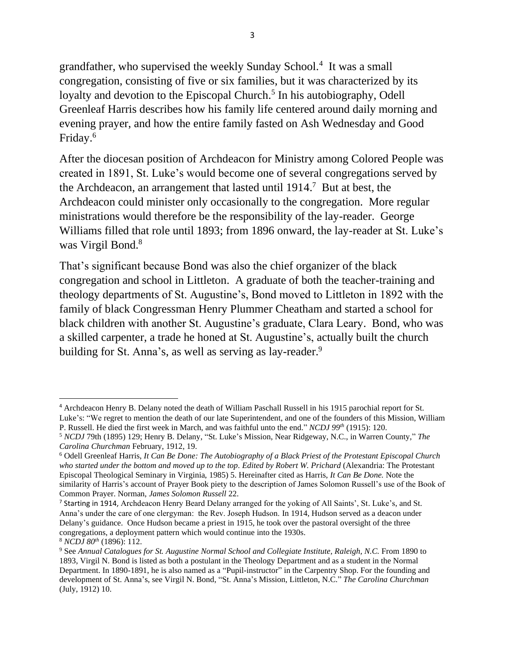grandfather, who supervised the weekly Sunday School.<sup>4</sup> It was a small congregation, consisting of five or six families, but it was characterized by its loyalty and devotion to the Episcopal Church.<sup>5</sup> In his autobiography, Odell Greenleaf Harris describes how his family life centered around daily morning and evening prayer, and how the entire family fasted on Ash Wednesday and Good Friday.<sup>6</sup>

After the diocesan position of Archdeacon for Ministry among Colored People was created in 1891, St. Luke's would become one of several congregations served by the Archdeacon, an arrangement that lasted until 1914. <sup>7</sup> But at best, the Archdeacon could minister only occasionally to the congregation. More regular ministrations would therefore be the responsibility of the lay-reader. George Williams filled that role until 1893; from 1896 onward, the lay-reader at St. Luke's was Virgil Bond.<sup>8</sup>

That's significant because Bond was also the chief organizer of the black congregation and school in Littleton. A graduate of both the teacher-training and theology departments of St. Augustine's, Bond moved to Littleton in 1892 with the family of black Congressman Henry Plummer Cheatham and started a school for black children with another St. Augustine's graduate, Clara Leary. Bond, who was a skilled carpenter, a trade he honed at St. Augustine's, actually built the church building for St. Anna's, as well as serving as lay-reader.<sup>9</sup>

<sup>4</sup> Archdeacon Henry B. Delany noted the death of William Paschall Russell in his 1915 parochial report for St. Luke's: "We regret to mention the death of our late Superintendent, and one of the founders of this Mission, William P. Russell. He died the first week in March, and was faithful unto the end." *NCDJ 99th* (1915): 120.

<sup>5</sup> *NCDJ* 79th (1895) 129; Henry B. Delany, "St. Luke's Mission, Near Ridgeway, N.C., in Warren County," *The Carolina Churchman* February, 1912, 19.

<sup>6</sup> Odell Greenleaf Harris, *It Can Be Done: The Autobiography of a Black Priest of the Protestant Episcopal Church who started under the bottom and moved up to the top. Edited by Robert W. Prichard* (Alexandria: The Protestant Episcopal Theological Seminary in Virginia, 1985) 5. Hereinafter cited as Harris, *It Can Be Done.* Note the similarity of Harris's account of Prayer Book piety to the description of James Solomon Russell's use of the Book of Common Prayer. Norman, *James Solomon Russell* 22.

<sup>7</sup> Starting in 1914, Archdeacon Henry Beard Delany arranged for the yoking of All Saints', St. Luke's, and St. Anna's under the care of one clergyman: the Rev. Joseph Hudson. In 1914, Hudson served as a deacon under Delany's guidance. Once Hudson became a priest in 1915, he took over the pastoral oversight of the three congregations, a deployment pattern which would continue into the 1930s.

<sup>8</sup> *NCDJ 80th* (1896): 112.

<sup>9</sup> See *Annual Catalogues for St. Augustine Normal School and Collegiate Institute, Raleigh, N.C.* From 1890 to 1893, Virgil N. Bond is listed as both a postulant in the Theology Department and as a student in the Normal Department. In 1890-1891, he is also named as a "Pupil-instructor" in the Carpentry Shop. For the founding and development of St. Anna's, see Virgil N. Bond, "St. Anna's Mission, Littleton, N.C." *The Carolina Churchman* (July, 1912) 10.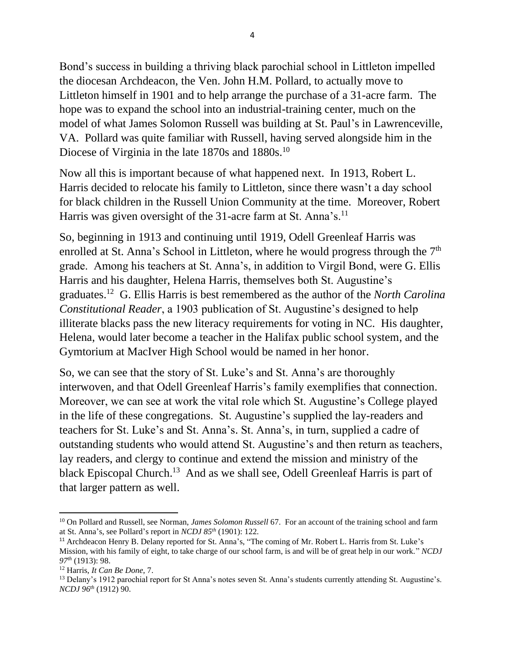Bond's success in building a thriving black parochial school in Littleton impelled the diocesan Archdeacon, the Ven. John H.M. Pollard, to actually move to Littleton himself in 1901 and to help arrange the purchase of a 31-acre farm. The hope was to expand the school into an industrial-training center, much on the model of what James Solomon Russell was building at St. Paul's in Lawrenceville, VA. Pollard was quite familiar with Russell, having served alongside him in the Diocese of Virginia in the late 1870s and 1880s.<sup>10</sup>

Now all this is important because of what happened next. In 1913, Robert L. Harris decided to relocate his family to Littleton, since there wasn't a day school for black children in the Russell Union Community at the time. Moreover, Robert Harris was given oversight of the 31-acre farm at St. Anna's.<sup>11</sup>

So, beginning in 1913 and continuing until 1919, Odell Greenleaf Harris was enrolled at St. Anna's School in Littleton, where he would progress through the  $7<sup>th</sup>$ grade. Among his teachers at St. Anna's, in addition to Virgil Bond, were G. Ellis Harris and his daughter, Helena Harris, themselves both St. Augustine's graduates.<sup>12</sup> G. Ellis Harris is best remembered as the author of the *North Carolina Constitutional Reader*, a 1903 publication of St. Augustine's designed to help illiterate blacks pass the new literacy requirements for voting in NC. His daughter, Helena, would later become a teacher in the Halifax public school system, and the Gymtorium at MacIver High School would be named in her honor.

So, we can see that the story of St. Luke's and St. Anna's are thoroughly interwoven, and that Odell Greenleaf Harris's family exemplifies that connection. Moreover, we can see at work the vital role which St. Augustine's College played in the life of these congregations. St. Augustine's supplied the lay-readers and teachers for St. Luke's and St. Anna's. St. Anna's, in turn, supplied a cadre of outstanding students who would attend St. Augustine's and then return as teachers, lay readers, and clergy to continue and extend the mission and ministry of the black Episcopal Church.<sup>13</sup> And as we shall see, Odell Greenleaf Harris is part of that larger pattern as well.

<sup>10</sup> On Pollard and Russell, see Norman, *James Solomon Russell* 67. For an account of the training school and farm at St. Anna's, see Pollard's report in *NCDJ 85th* (1901): 122.

<sup>11</sup> Archdeacon Henry B. Delany reported for St. Anna's, "The coming of Mr. Robert L. Harris from St. Luke's Mission, with his family of eight, to take charge of our school farm, is and will be of great help in our work." *NCDJ 97th* (1913): 98.

<sup>12</sup> Harris, *It Can Be Done*, 7.

<sup>&</sup>lt;sup>13</sup> Delany's 1912 parochial report for St Anna's notes seven St. Anna's students currently attending St. Augustine's. *NCDJ 96th* (1912) 90.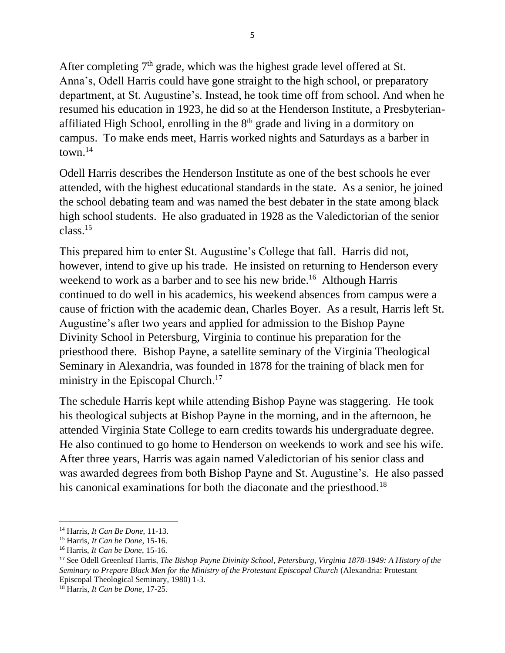After completing  $7<sup>th</sup>$  grade, which was the highest grade level offered at St. Anna's, Odell Harris could have gone straight to the high school, or preparatory department, at St. Augustine's. Instead, he took time off from school. And when he resumed his education in 1923, he did so at the Henderson Institute, a Presbyterianaffiliated High School, enrolling in the 8<sup>th</sup> grade and living in a dormitory on campus. To make ends meet, Harris worked nights and Saturdays as a barber in town. $^{14}$ 

Odell Harris describes the Henderson Institute as one of the best schools he ever attended, with the highest educational standards in the state. As a senior, he joined the school debating team and was named the best debater in the state among black high school students. He also graduated in 1928 as the Valedictorian of the senior class.<sup>15</sup>

This prepared him to enter St. Augustine's College that fall. Harris did not, however, intend to give up his trade. He insisted on returning to Henderson every weekend to work as a barber and to see his new bride.<sup>16</sup> Although Harris continued to do well in his academics, his weekend absences from campus were a cause of friction with the academic dean, Charles Boyer. As a result, Harris left St. Augustine's after two years and applied for admission to the Bishop Payne Divinity School in Petersburg, Virginia to continue his preparation for the priesthood there. Bishop Payne, a satellite seminary of the Virginia Theological Seminary in Alexandria, was founded in 1878 for the training of black men for ministry in the Episcopal Church.<sup>17</sup>

The schedule Harris kept while attending Bishop Payne was staggering. He took his theological subjects at Bishop Payne in the morning, and in the afternoon, he attended Virginia State College to earn credits towards his undergraduate degree. He also continued to go home to Henderson on weekends to work and see his wife. After three years, Harris was again named Valedictorian of his senior class and was awarded degrees from both Bishop Payne and St. Augustine's. He also passed his canonical examinations for both the diaconate and the priesthood.<sup>18</sup>

<sup>14</sup> Harris, *It Can Be Done*, 11-13.

<sup>15</sup> Harris, *It Can be Done*, 15-16.

<sup>16</sup> Harris, *It Can be Done*, 15-16.

<sup>17</sup> See Odell Greenleaf Harris, *The Bishop Payne Divinity School, Petersburg, Virginia 1878-1949: A History of the Seminary to Prepare Black Men for the Ministry of the Protestant Episcopal Church* (Alexandria: Protestant Episcopal Theological Seminary, 1980) 1-3.

<sup>18</sup> Harris, *It Can be Done*, 17-25.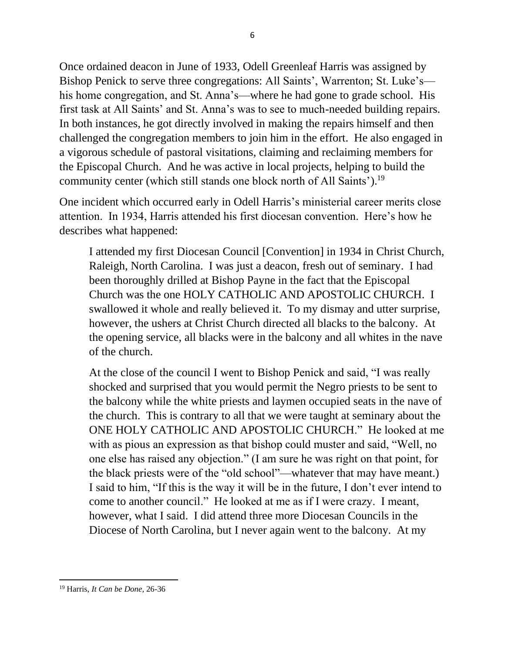Once ordained deacon in June of 1933, Odell Greenleaf Harris was assigned by Bishop Penick to serve three congregations: All Saints', Warrenton; St. Luke's his home congregation, and St. Anna's—where he had gone to grade school. His first task at All Saints' and St. Anna's was to see to much-needed building repairs. In both instances, he got directly involved in making the repairs himself and then challenged the congregation members to join him in the effort. He also engaged in a vigorous schedule of pastoral visitations, claiming and reclaiming members for the Episcopal Church. And he was active in local projects, helping to build the community center (which still stands one block north of All Saints').<sup>19</sup>

One incident which occurred early in Odell Harris's ministerial career merits close attention. In 1934, Harris attended his first diocesan convention. Here's how he describes what happened:

I attended my first Diocesan Council [Convention] in 1934 in Christ Church, Raleigh, North Carolina. I was just a deacon, fresh out of seminary. I had been thoroughly drilled at Bishop Payne in the fact that the Episcopal Church was the one HOLY CATHOLIC AND APOSTOLIC CHURCH. I swallowed it whole and really believed it. To my dismay and utter surprise, however, the ushers at Christ Church directed all blacks to the balcony. At the opening service, all blacks were in the balcony and all whites in the nave of the church.

At the close of the council I went to Bishop Penick and said, "I was really shocked and surprised that you would permit the Negro priests to be sent to the balcony while the white priests and laymen occupied seats in the nave of the church. This is contrary to all that we were taught at seminary about the ONE HOLY CATHOLIC AND APOSTOLIC CHURCH." He looked at me with as pious an expression as that bishop could muster and said, "Well, no one else has raised any objection." (I am sure he was right on that point, for the black priests were of the "old school"—whatever that may have meant.) I said to him, "If this is the way it will be in the future, I don't ever intend to come to another council." He looked at me as if I were crazy. I meant, however, what I said. I did attend three more Diocesan Councils in the Diocese of North Carolina, but I never again went to the balcony. At my

<sup>19</sup> Harris, *It Can be Done,* 26-36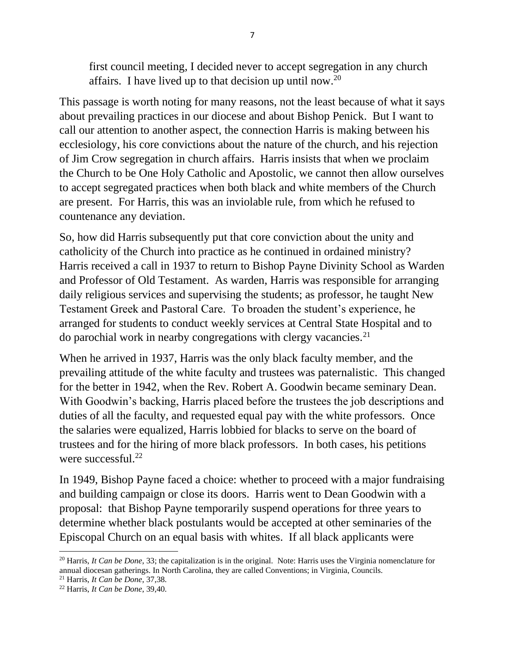first council meeting, I decided never to accept segregation in any church affairs. I have lived up to that decision up until now.<sup>20</sup>

This passage is worth noting for many reasons, not the least because of what it says about prevailing practices in our diocese and about Bishop Penick. But I want to call our attention to another aspect, the connection Harris is making between his ecclesiology, his core convictions about the nature of the church, and his rejection of Jim Crow segregation in church affairs. Harris insists that when we proclaim the Church to be One Holy Catholic and Apostolic, we cannot then allow ourselves to accept segregated practices when both black and white members of the Church are present. For Harris, this was an inviolable rule, from which he refused to countenance any deviation.

So, how did Harris subsequently put that core conviction about the unity and catholicity of the Church into practice as he continued in ordained ministry? Harris received a call in 1937 to return to Bishop Payne Divinity School as Warden and Professor of Old Testament. As warden, Harris was responsible for arranging daily religious services and supervising the students; as professor, he taught New Testament Greek and Pastoral Care. To broaden the student's experience, he arranged for students to conduct weekly services at Central State Hospital and to do parochial work in nearby congregations with clergy vacancies.<sup>21</sup>

When he arrived in 1937, Harris was the only black faculty member, and the prevailing attitude of the white faculty and trustees was paternalistic. This changed for the better in 1942, when the Rev. Robert A. Goodwin became seminary Dean. With Goodwin's backing, Harris placed before the trustees the job descriptions and duties of all the faculty, and requested equal pay with the white professors. Once the salaries were equalized, Harris lobbied for blacks to serve on the board of trustees and for the hiring of more black professors. In both cases, his petitions were successful. $^{22}$ 

In 1949, Bishop Payne faced a choice: whether to proceed with a major fundraising and building campaign or close its doors. Harris went to Dean Goodwin with a proposal: that Bishop Payne temporarily suspend operations for three years to determine whether black postulants would be accepted at other seminaries of the Episcopal Church on an equal basis with whites. If all black applicants were

<sup>20</sup> Harris, *It Can be Done*, 33; the capitalization is in the original. Note: Harris uses the Virginia nomenclature for annual diocesan gatherings. In North Carolina, they are called Conventions; in Virginia, Councils.

<sup>21</sup> Harris, *It Can be Done*, 37,38.

<sup>22</sup> Harris, *It Can be Done*, 39,40.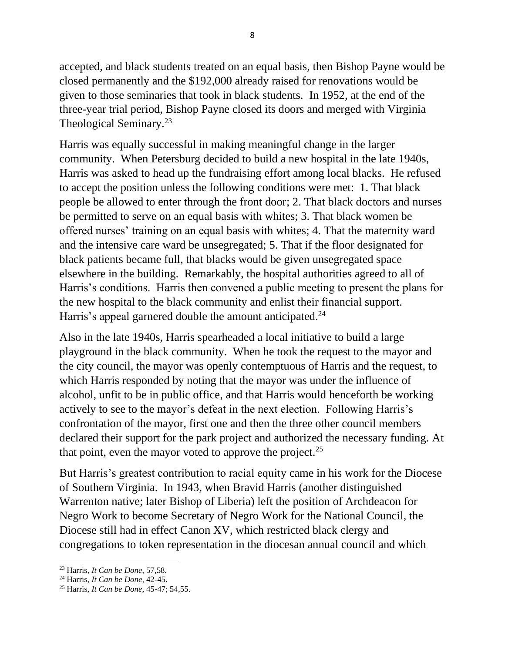accepted, and black students treated on an equal basis, then Bishop Payne would be closed permanently and the \$192,000 already raised for renovations would be given to those seminaries that took in black students. In 1952, at the end of the three-year trial period, Bishop Payne closed its doors and merged with Virginia Theological Seminary.<sup>23</sup>

Harris was equally successful in making meaningful change in the larger community. When Petersburg decided to build a new hospital in the late 1940s, Harris was asked to head up the fundraising effort among local blacks. He refused to accept the position unless the following conditions were met: 1. That black people be allowed to enter through the front door; 2. That black doctors and nurses be permitted to serve on an equal basis with whites; 3. That black women be offered nurses' training on an equal basis with whites; 4. That the maternity ward and the intensive care ward be unsegregated; 5. That if the floor designated for black patients became full, that blacks would be given unsegregated space elsewhere in the building. Remarkably, the hospital authorities agreed to all of Harris's conditions. Harris then convened a public meeting to present the plans for the new hospital to the black community and enlist their financial support. Harris's appeal garnered double the amount anticipated.<sup>24</sup>

Also in the late 1940s, Harris spearheaded a local initiative to build a large playground in the black community. When he took the request to the mayor and the city council, the mayor was openly contemptuous of Harris and the request, to which Harris responded by noting that the mayor was under the influence of alcohol, unfit to be in public office, and that Harris would henceforth be working actively to see to the mayor's defeat in the next election. Following Harris's confrontation of the mayor, first one and then the three other council members declared their support for the park project and authorized the necessary funding. At that point, even the mayor voted to approve the project.<sup>25</sup>

But Harris's greatest contribution to racial equity came in his work for the Diocese of Southern Virginia. In 1943, when Bravid Harris (another distinguished Warrenton native; later Bishop of Liberia) left the position of Archdeacon for Negro Work to become Secretary of Negro Work for the National Council, the Diocese still had in effect Canon XV, which restricted black clergy and congregations to token representation in the diocesan annual council and which

<sup>23</sup> Harris, *It Can be Done*, 57,58.

<sup>24</sup> Harris, *It Can be Done,* 42-45.

<sup>25</sup> Harris, *It Can be Done*, 45-47; 54,55.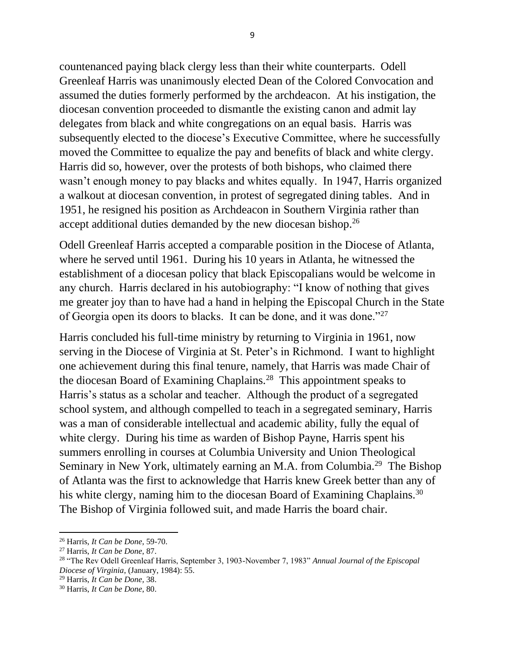countenanced paying black clergy less than their white counterparts. Odell Greenleaf Harris was unanimously elected Dean of the Colored Convocation and assumed the duties formerly performed by the archdeacon. At his instigation, the diocesan convention proceeded to dismantle the existing canon and admit lay delegates from black and white congregations on an equal basis. Harris was subsequently elected to the diocese's Executive Committee, where he successfully moved the Committee to equalize the pay and benefits of black and white clergy. Harris did so, however, over the protests of both bishops, who claimed there wasn't enough money to pay blacks and whites equally. In 1947, Harris organized a walkout at diocesan convention, in protest of segregated dining tables. And in 1951, he resigned his position as Archdeacon in Southern Virginia rather than accept additional duties demanded by the new diocesan bishop.<sup>26</sup>

Odell Greenleaf Harris accepted a comparable position in the Diocese of Atlanta, where he served until 1961. During his 10 years in Atlanta, he witnessed the establishment of a diocesan policy that black Episcopalians would be welcome in any church. Harris declared in his autobiography: "I know of nothing that gives me greater joy than to have had a hand in helping the Episcopal Church in the State of Georgia open its doors to blacks. It can be done, and it was done."<sup>27</sup>

Harris concluded his full-time ministry by returning to Virginia in 1961, now serving in the Diocese of Virginia at St. Peter's in Richmond. I want to highlight one achievement during this final tenure, namely, that Harris was made Chair of the diocesan Board of Examining Chaplains.<sup>28</sup> This appointment speaks to Harris's status as a scholar and teacher. Although the product of a segregated school system, and although compelled to teach in a segregated seminary, Harris was a man of considerable intellectual and academic ability, fully the equal of white clergy. During his time as warden of Bishop Payne, Harris spent his summers enrolling in courses at Columbia University and Union Theological Seminary in New York, ultimately earning an M.A. from Columbia.<sup>29</sup> The Bishop of Atlanta was the first to acknowledge that Harris knew Greek better than any of his white clergy, naming him to the diocesan Board of Examining Chaplains.<sup>30</sup> The Bishop of Virginia followed suit, and made Harris the board chair.

<sup>26</sup> Harris, *It Can be Done*, 59-70.

<sup>27</sup> Harris, *It Can be Done*, 87.

<sup>28</sup> "The Rev Odell Greenleaf Harris, September 3, 1903-November 7, 1983" *Annual Journal of the Episcopal Diocese of Virginia*, (January, 1984): 55.

<sup>29</sup> Harris, *It Can be Done,* 38.

<sup>30</sup> Harris, *It Can be Done*, 80.